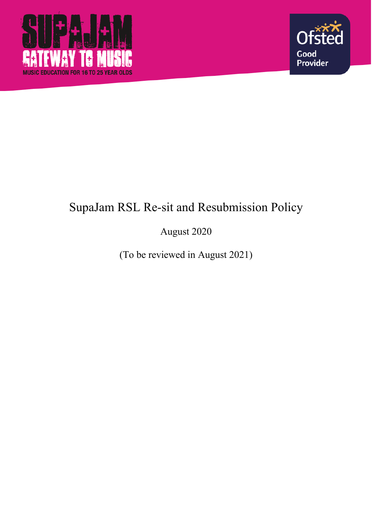



# SupaJam RSL Re-sit and Resubmission Policy

August 2020

(To be reviewed in August 2021)